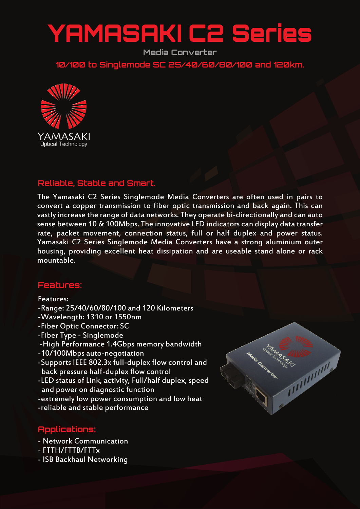# YAMASAKI C2 Series

**Media Converter**

**10/100 to Singlemode SC 25/40/60/80/100 and 120km.**



## **Reliable, Stable and Smart.**

The Yamasaki C2 Series Singlemode Media Converters are often used in pairs to convert a copper transmission to fiber optic transmission and back again. This can vastly increase the range of data networks. They operate bi-directionally and can auto sense between 10 & 100Mbps. The innovative LED indicators can display data transfer rate, packet movement, connection status, full or half duplex and power status. Yamasaki C2 Series Singlemode Media Converters have a strong aluminium outer housing, providing excellent heat dissipation and are useable stand alone or rack mountable.

## **Features:**

#### Features:

- -Range: 25/40/60/80/100 and 120 Kilometers
- -Wavelength: 1310 or 1550nm
- -Fiber Optic Connector: SC
- -Fiber Type Singlemode
- -High Performance 1.4Gbps memory bandwidth
- -10/100Mbps auto-negotiation
- -Supports IEEE 802.3x full-duplex flow control and back pressure half-duplex flow control
- -LED status of Link, activity, Full/half duplex, speed and power on diagnostic function
- -extremely low power consumption and low heat
- -reliable and stable performance

## **Applications:**

- Network Communication
- FTTH/FTTB/FTTx
- ISB Backhaul Networking